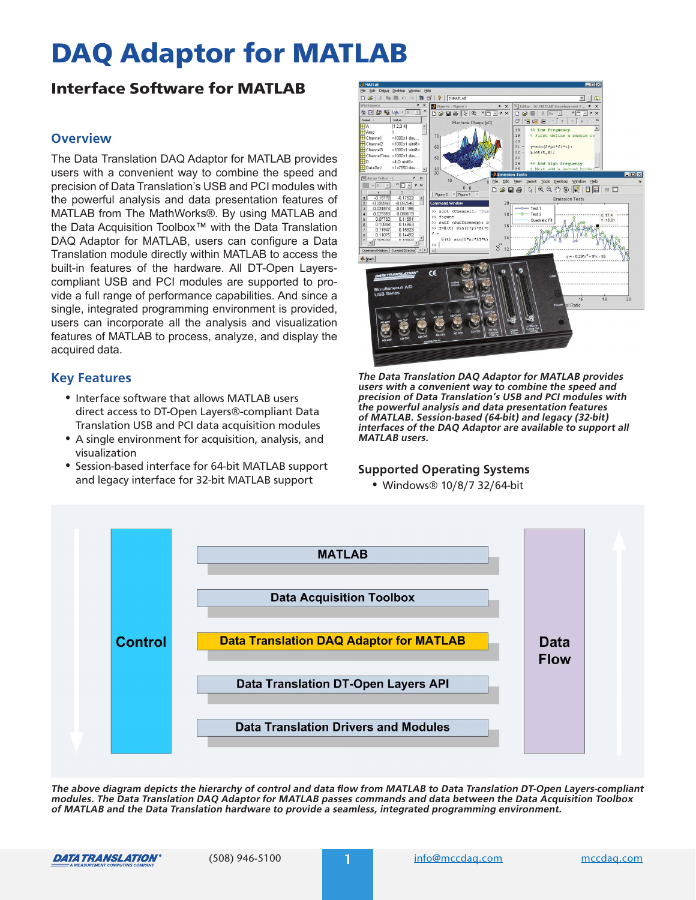# DAQ Adaptor for MATLAB

# Interface Software for MATLAB

# **Overview**

The Data Translation DAQ Adaptor for MATLAB provides users with a convenient way to combine the speed and precision of Data Translation's USB and PCI modules with the powerful analysis and data presentation features of MATLAB from The MathWorks®. By using MATLAB and the Data Acquisition Toolbox™ with the Data Translation DAQ Adaptor for MATLAB, users can configure a Data Translation module directly within MATLAB to access the built-in features of the hardware. All DT-Open Layerscompliant USB and PCI modules are supported to provide a full range of performance capabilities. And since a single, integrated programming environment is provided, users can incorporate all the analysis and visualization features of MATLAB to process, analyze, and display the acquired data.

# **Key Features**

- **•** Interface software that allows MATLAB users direct access to DT-Open Layers®-compliant Data Translation USB and PCI data acquisition modules
- **•** A single environment for acquisition, analysis, and visualization
- **•** Session-based interface for 64-bit MATLAB support and legacy interface for 32-bit MATLAB support



<span id="page-0-0"></span>**The Data Translation DAQ Adaptor for MATLAB provides users with a convenient way to combine the speed and precision of Data Translation's USB and PCI modules with the powerful analysis and data presentation features of MATLAB. Session-based (64-bit) and legacy (32-bit) interfaces of the DAQ Adaptor are available to support all MATLAB users.**

#### **Supported Operating Systems**

**•** Windows® 10/8/7 32/64-bit



**The above diagram depicts the hierarchy of control and data flow from MATLAB to Data Translation DT-Open Layers-compliant modules. The Data Translation DAQ Adaptor for MATLAB passes commands and data between the Data Acquisition Toolbox of MATLAB and the Data Translation hardware to provide a seamless, integrated programming environment.**